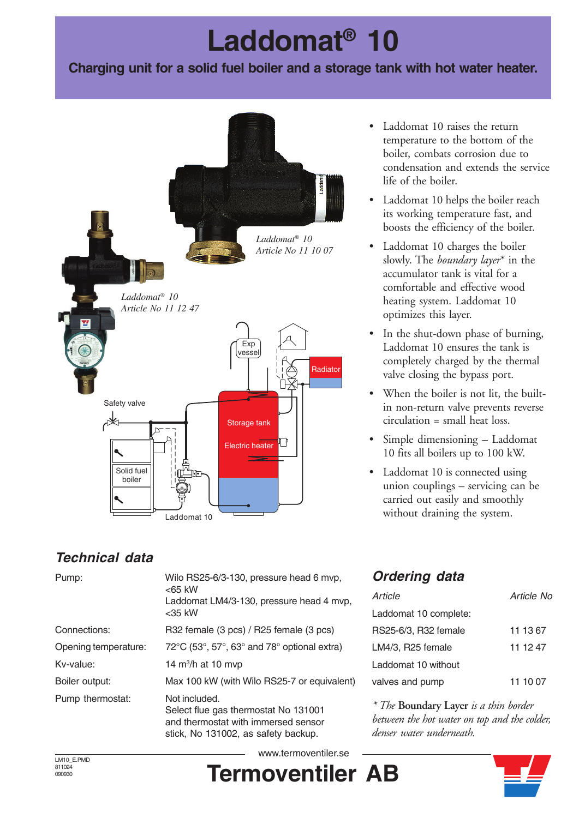# **Laddomat® 10**

#### **Charging unit for a solid fuel boiler and a storage tank with hot water heater.**



- Laddomat 10 raises the return temperature to the bottom of the boiler, combats corrosion due to condensation and extends the service life of the boiler.
- Laddomat 10 helps the boiler reach its working temperature fast, and boosts the efficiency of the boiler.
- Laddomat 10 charges the boiler slowly. The *boundary layer*\* in the accumulator tank is vital for a comfortable and effective wood heating system. Laddomat 10 optimizes this layer.
- In the shut-down phase of burning, Laddomat 10 ensures the tank is completely charged by the thermal valve closing the bypass port.
- When the boiler is not lit, the builtin non-return valve prevents reverse circulation = small heat loss.
- Simple dimensioning Laddomat 10 fits all boilers up to 100 kW.
- Laddomat 10 is connected using union couplings – servicing can be carried out easily and smoothly without draining the system.

### **Technical data**

| Pump:                | Wilo RS25-6/3-130, pressure head 6 mvp,<br>$<$ 65 kW<br>Laddomat LM4/3-130, pressure head 4 mvp,<br>$<$ 35 kW                       |
|----------------------|-------------------------------------------------------------------------------------------------------------------------------------|
| Connections:         | R32 female (3 pcs) / R25 female (3 pcs)                                                                                             |
| Opening temperature: | $72^{\circ}$ C (53°, 57°, 63° and 78° optional extra)                                                                               |
| Kv-value:            | 14 $m^3/h$ at 10 mvp                                                                                                                |
| Boiler output:       | Max 100 kW (with Wilo RS25-7 or equivalent)                                                                                         |
| Pump thermostat:     | Not included.<br>Select flue gas thermostat No 131001<br>and thermostat with immersed sensor<br>stick, No 131002, as safety backup. |

### **Ordering data**

| Article               | Article No |
|-----------------------|------------|
| Laddomat 10 complete: |            |
| RS25-6/3, R32 female  | 11 13 67   |
| LM4/3, R25 female     | 11 12 47   |
| Laddomat 10 without   |            |
| valves and pump       | 11 10 07   |

*\* The* **Boundary Layer** *is a thin border between the hot water on top and the colder, denser water underneath.*

LM10\_E.PMD 811024 090930

**Termoventiler AB** www.termoventiler.se

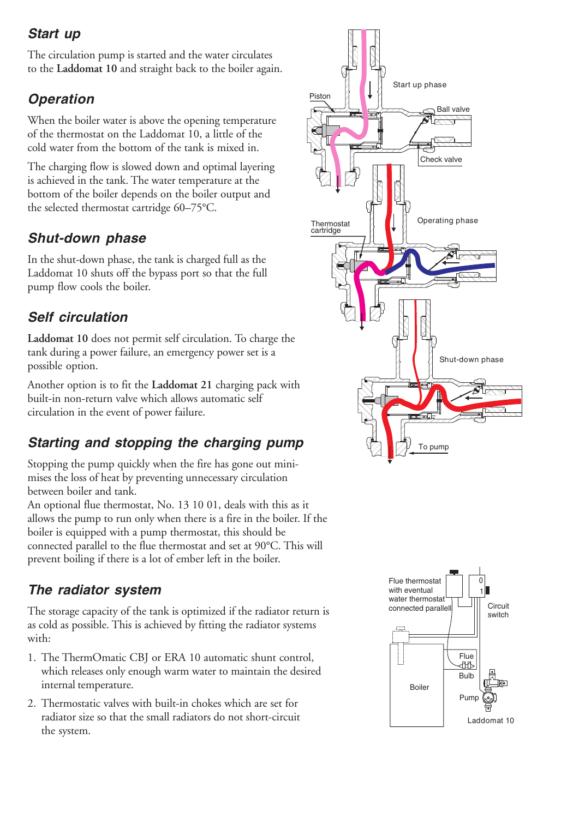### **Start up**

The circulation pump is started and the water circulates to the **Laddomat 10** and straight back to the boiler again.

# **Operation**

When the boiler water is above the opening temperature of the thermostat on the Laddomat 10, a little of the cold water from the bottom of the tank is mixed in.

The charging flow is slowed down and optimal layering is achieved in the tank. The water temperature at the bottom of the boiler depends on the boiler output and the selected thermostat cartridge 60–75°C.

### **Shut-down phase**

In the shut-down phase, the tank is charged full as the Laddomat 10 shuts off the bypass port so that the full pump flow cools the boiler.

### **Self circulation**

**Laddomat 10** does not permit self circulation. To charge the tank during a power failure, an emergency power set is a possible option.

Another option is to fit the **Laddomat 21** charging pack with built-in non-return valve which allows automatic self circulation in the event of power failure.

# **Starting and stopping the charging pump**

Stopping the pump quickly when the fire has gone out minimises the loss of heat by preventing unnecessary circulation between boiler and tank.

An optional flue thermostat, No. 13 10 01, deals with this as it allows the pump to run only when there is a fire in the boiler. If the boiler is equipped with a pump thermostat, this should be connected parallel to the flue thermostat and set at 90°C. This will prevent boiling if there is a lot of ember left in the boiler.

### **The radiator system**

The storage capacity of the tank is optimized if the radiator return is as cold as possible. This is achieved by fitting the radiator systems with:

- 1. The ThermOmatic CBJ or ERA 10 automatic shunt control, which releases only enough warm water to maintain the desired internal temperature.
- 2. Thermostatic valves with built-in chokes which are set for radiator size so that the small radiators do not short-circuit the system.



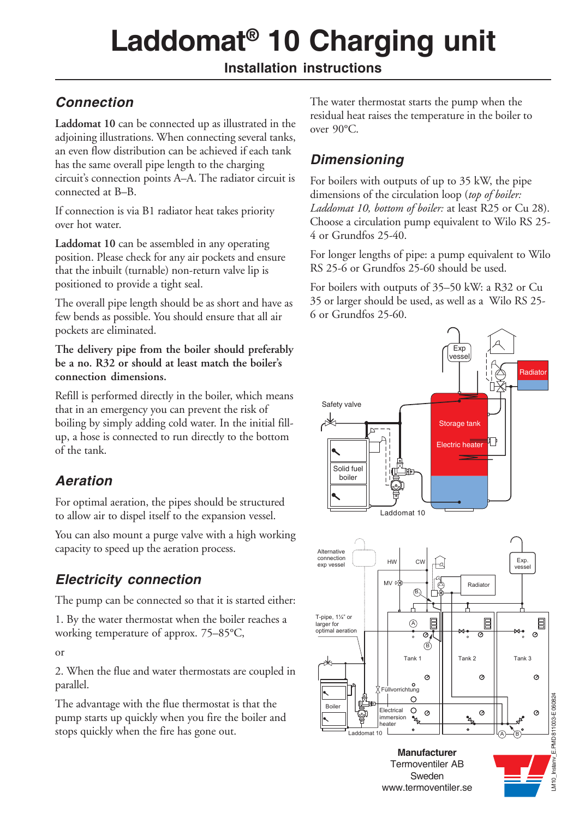# **Laddomat® 10 Charging unit**

#### **Installation instructions**

# *Connection*

**Laddomat 10** can be connected up as illustrated in the adjoining illustrations. When connecting several tanks, an even flow distribution can be achieved if each tank has the same overall pipe length to the charging circuit's connection points A–A. The radiator circuit is connected at B–B.

If connection is via B1 radiator heat takes priority over hot water.

**Laddomat 10** can be assembled in any operating position. Please check for any air pockets and ensure that the inbuilt (turnable) non-return valve lip is positioned to provide a tight seal.

The overall pipe length should be as short and have as few bends as possible. You should ensure that all air pockets are eliminated.

**The delivery pipe from the boiler should preferably be a no. R32 or should at least match the boiler's connection dimensions.**

Refill is performed directly in the boiler, which means that in an emergency you can prevent the risk of boiling by simply adding cold water. In the initial fillup, a hose is connected to run directly to the bottom of the tank.

### *Aeration*

For optimal aeration, the pipes should be structured to allow air to dispel itself to the expansion vessel.

You can also mount a purge valve with a high working capacity to speed up the aeration process.

# *Electricity connection*

The pump can be connected so that it is started either:

1. By the water thermostat when the boiler reaches a working temperature of approx. 75–85°C,

or

2. When the flue and water thermostats are coupled in parallel.

The advantage with the flue thermostat is that the pump starts up quickly when you fire the boiler and stops quickly when the fire has gone out.

The water thermostat starts the pump when the residual heat raises the temperature in the boiler to over 90°C.

# *Dimensioning*

For boilers with outputs of up to 35 kW, the pipe dimensions of the circulation loop (*top of boiler: Laddomat 10, bottom of boiler:* at least R25 or Cu 28). Choose a circulation pump equivalent to Wilo RS 25- 4 or Grundfos 25-40.

For longer lengths of pipe: a pump equivalent to Wilo RS 25-6 or Grundfos 25-60 should be used.

For boilers with outputs of 35–50 kW: a R32 or Cu 35 or larger should be used, as well as a Wilo RS 25- 6 or Grundfos 25-60.